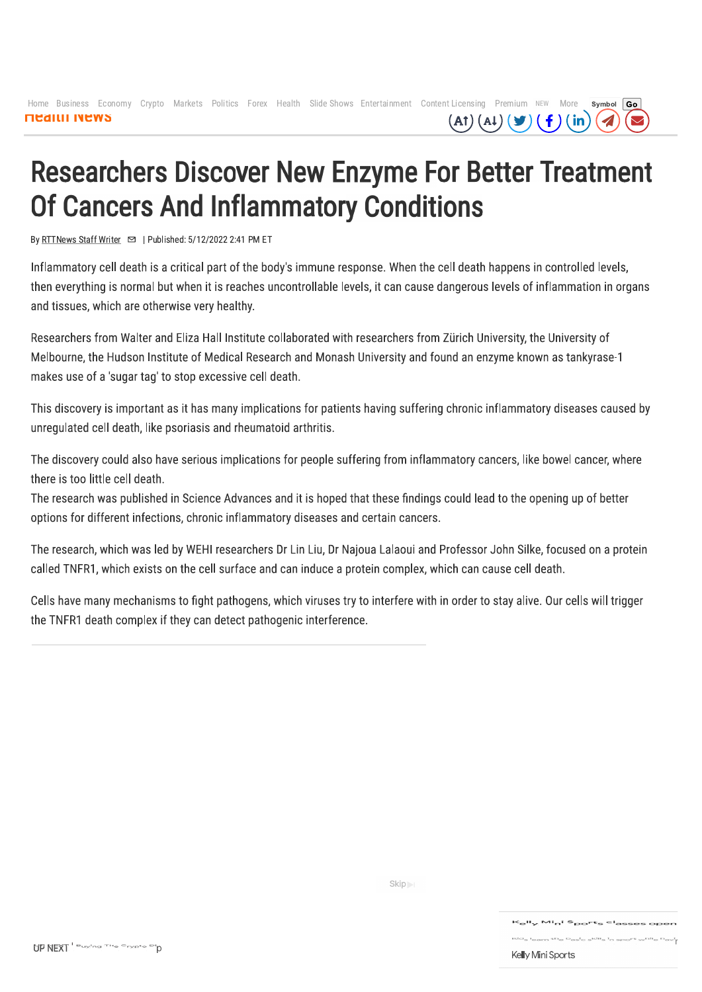Home Business Economy Crypto Markets Politics Forex Health Slide Shows Entertainment Content Licensing Premium NEW More Symbol Go **MEAILII INEWS**  $(A1)(A1)(\blacktriangleright)$  $(\f)$  (in)

# **Researchers Discover New Enzyme For Better Treatment Of Cancers And Inflammatory Conditions**

By RTTNews Staff Writer <br>  $\Box$  | Published: 5/12/2022 2:41 PM ET

Inflammatory cell death is a critical part of the body's immune response. When the cell death happens in controlled levels, then everything is normal but when it is reaches uncontrollable levels, it can cause dangerous levels of inflammation in organs and tissues, which are otherwise very healthy.

Researchers from Walter and Eliza Hall Institute collaborated with researchers from Zürich University, the University of Melbourne, the Hudson Institute of Medical Research and Monash University and found an enzyme known as tankyrase-1 makes use of a 'sugar tag' to stop excessive cell death.

This discovery is important as it has many implications for patients having suffering chronic inflammatory diseases caused by unregulated cell death, like psoriasis and rheumatoid arthritis.

The discovery could also have serious implications for people suffering from inflammatory cancers, like bowel cancer, where there is too little cell death.

The research was published in Science Advances and it is hoped that these findings could lead to the opening up of better options for different infections, chronic inflammatory diseases and certain cancers.

The research, which was led by WEHI researchers Dr Lin Liu, Dr Najoua Lalaoui and Professor John Silke, focused on a protein called TNFR1, which exists on the cell surface and can induce a protein complex, which can cause cell death.

Cells have many mechanisms to fight pathogens, which viruses try to interfere with in order to stay alive. Our cells will trigger the TNFR1 death complex if they can detect pathogenic interference.

# UP NEXT Buying The Orypto Dip

Skip<sub>)</sub>

### K<sub>e</sub>ll<sub>y</sub> Mi<sub>n</sub>i S<sub>po</sub>rt<sub>s</sub> cl<sub>asses oper</sub>

 $\mathsf{Kid}_{\mathbb{S}}\mathsf{I}_{\mathsf{earn}}\mathsf{th}_{\mathfrak{S}}\mathsf{b}_{\mathsf{as}}\mathsf{I}_{\mathsf{G}}\mathsf{s}^{\mathsf{Kill}}\mathsf{s} \mathsf{I}_{\mathsf{h}}\mathsf{s}\mathsf{po}^{\mathsf{rt}}\mathsf{w}^{\mathsf{hil}}\mathsf{e}\mathsf{h}_{\mathsf{a}}$ 

## Kelly Mini Sports